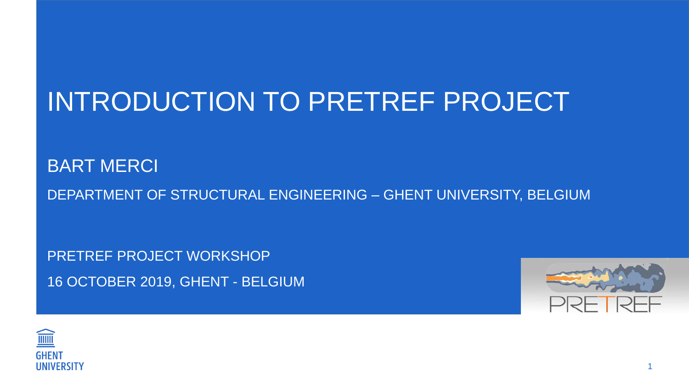# INTRODUCTION TO PRETREF PROJECT

BART MERCI DEPARTMENT OF STRUCTURAL ENGINEERING – GHENT UNIVERSITY, BELGIUM

PRETREF PROJECT WORKSHOP 16 OCTOBER 2019, GHENT - BELGIUM



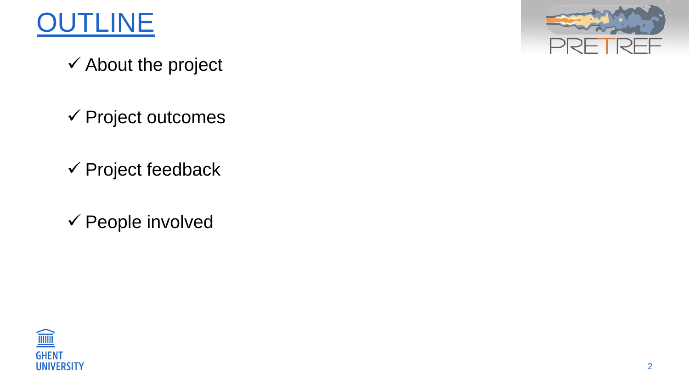

- About the project
- Project outcomes
- Project feedback
- People involved



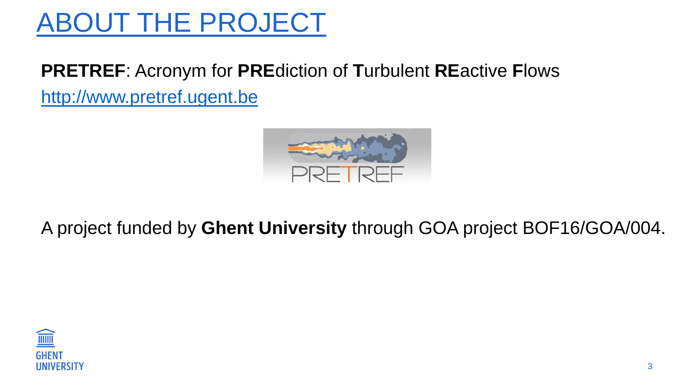### **PRETREF**: Acronym for **PRE**diction of **T**urbulent **RE**active **F**lows [http://www.pretref.ugent.be](http://www.pretref.ugent.be/)



### A project funded by **Ghent University** through GOA project BOF16/GOA/004.

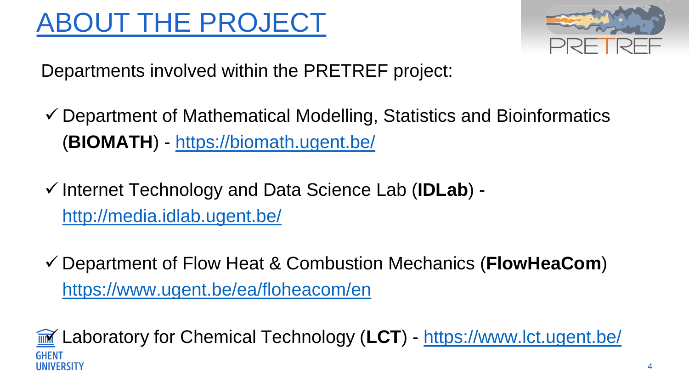Departments involved within the PRETREF project:

- Department of Mathematical Modelling, Statistics and Bioinformatics (**BIOMATH**) - <https://biomath.ugent.be/>
- Internet Technology and Data Science Lab (**IDLab**) <http://media.idlab.ugent.be/>
- Department of Flow Heat & Combustion Mechanics (**FlowHeaCom**) <https://www.ugent.be/ea/floheacom/en>



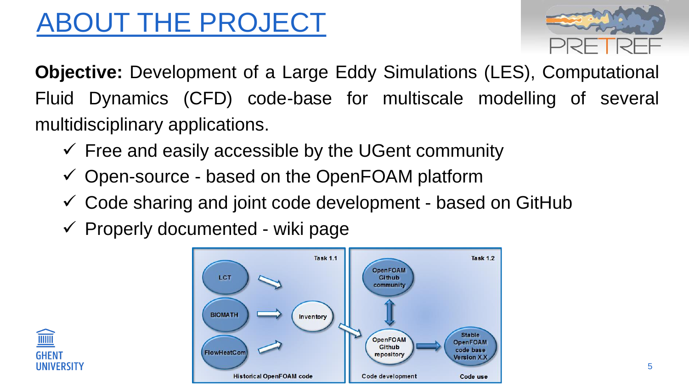**Objective:** Development of a Large Eddy Simulations (LES), Computational Fluid Dynamics (CFD) code-base for multiscale modelling of several multidisciplinary applications.

- $\checkmark$  Free and easily accessible by the UGent community
- $\checkmark$  Open-source based on the OpenFOAM platform
- Code sharing and joint code development based on GitHub
- $\checkmark$  Properly documented wiki page





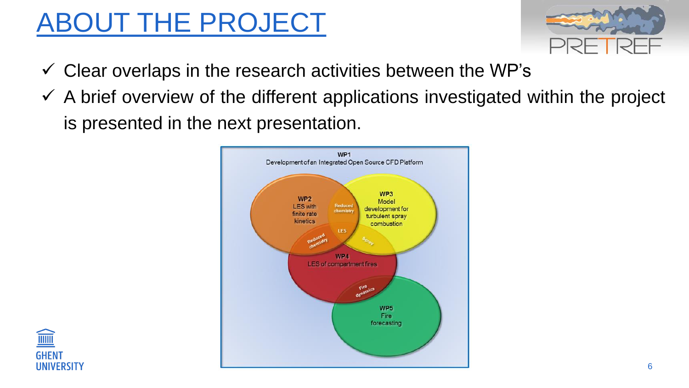





- $\checkmark$  Clear overlaps in the research activities between the WP's
- $\checkmark$  A brief overview of the different applications investigated within the project is presented in the next presentation.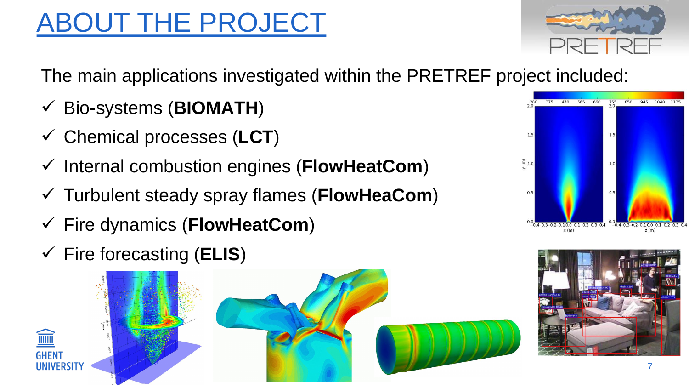The main applications investigated within the PRETREF project included:

- Bio-systems (**BIOMATH**)
- Chemical processes (**LCT**)
- Internal combustion engines (**FlowHeatCom**)
- Turbulent steady spray flames (**FlowHeaCom**)
- Fire dynamics (**FlowHeatCom**)
- Fire forecasting (**ELIS**)









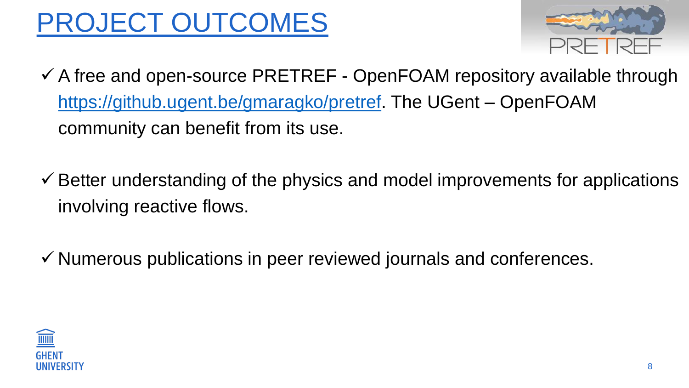# PROJECT OUTCOMES

- $\checkmark$  A free and open-source PRETREF OpenFOAM repository available through [https://github.ugent.be/gmaragko/pretref.](https://github.ugent.be/gmaragko/pretref) The UGent – OpenFOAM community can benefit from its use.
- $\checkmark$  Better understanding of the physics and model improvements for applications involving reactive flows.
- $\checkmark$  Numerous publications in peer reviewed journals and conferences.



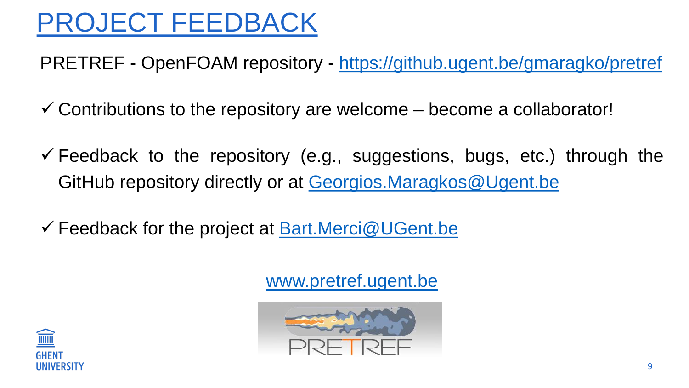### PROJECT FEEDBACK

PRETREF - OpenFOAM repository - <https://github.ugent.be/gmaragko/pretref>

- $\checkmark$  Contributions to the repository are welcome become a collaborator!
- $\checkmark$  Feedback to the repository (e.g., suggestions, bugs, etc.) through the GitHub repository directly or at [Georgios.Maragkos@Ugent.be](mailto:Georgios.Maragkos@Ugent.be)
- Feedback for the project at [Bart.Merci@UGent.be](mailto:Bart.Merci@UGent.be)

### [www.pretref.ugent.be](http://www.pretref.ugent.be/)





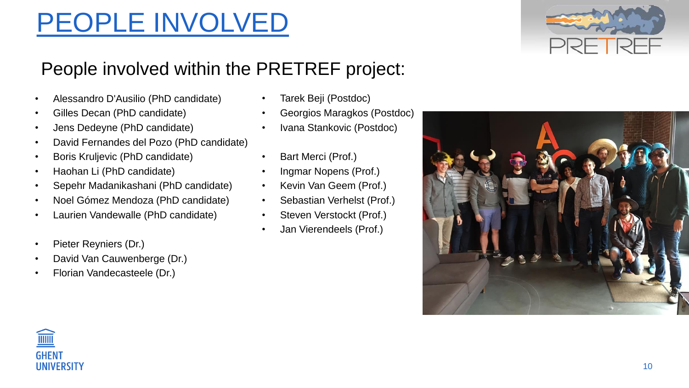## PEOPLE INVOLVED

### People involved within the PRETREF project:

- Tarek Beji (Postdoc)
- Georgios Maragkos (Postdoc)
- Ivana Stankovic (Postdoc)
- Bart Merci (Prof.)
- Ingmar Nopens (Prof.)
- Kevin Van Geem (Prof.)
- Sebastian Verhelst (Prof.)
- Steven Verstockt (Prof.)
- Jan Vierendeels (Prof.)







- Alessandro D'Ausilio (PhD candidate)
- Gilles Decan (PhD candidate)
- Jens Dedeyne (PhD candidate)
- David Fernandes del Pozo (PhD candidate)
- Boris Kruljevic (PhD candidate)
- Haohan Li (PhD candidate)
- Sepehr Madanikashani (PhD candidate)
- Noel Gómez Mendoza (PhD candidate)
- Laurien Vandewalle (PhD candidate)
- Pieter Reyniers (Dr.)
- David Van Cauwenberge (Dr.)
- Florian Vandecasteele (Dr.)